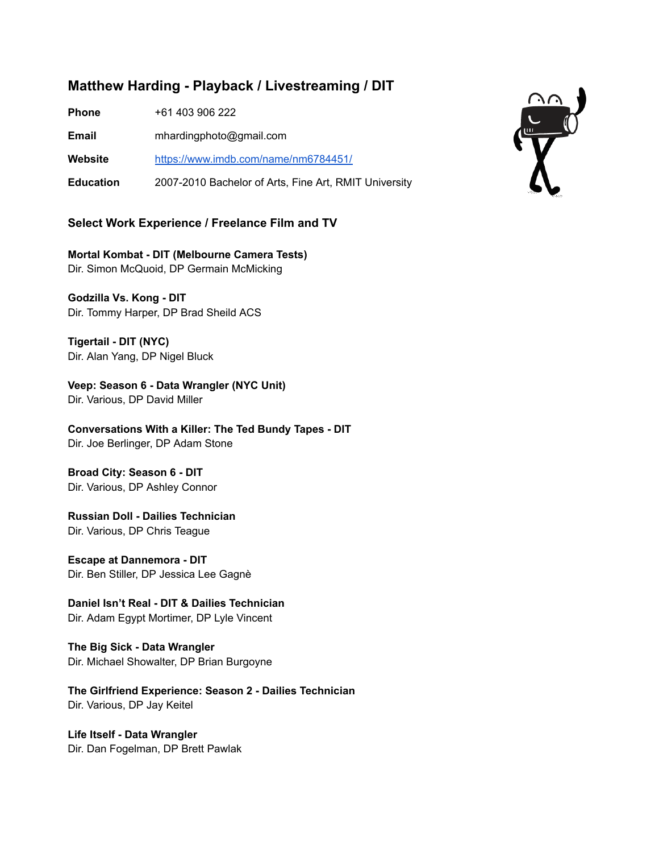## **Matthew Harding - Playback / Livestreaming / DIT**

**Phone** +61 403 906 222

**Email** mhardingphoto@gmail.com

**Website** <https://www.imdb.com/name/nm6784451/>

**Education** 2007-2010 Bachelor of Arts, Fine Art, RMIT University

## **Select Work Experience / Freelance Film and TV**

**Mortal Kombat - DIT (Melbourne Camera Tests)** Dir. Simon McQuoid, DP Germain McMicking

**Godzilla Vs. Kong - DIT** Dir. Tommy Harper, DP Brad Sheild ACS

**Tigertail - DIT (NYC)** Dir. Alan Yang, DP Nigel Bluck

**Veep: Season 6 - Data Wrangler (NYC Unit)** Dir. Various, DP David Miller

**Conversations With a Killer: The Ted Bundy Tapes - DIT** Dir. Joe Berlinger, DP Adam Stone

**Broad City: Season 6 - DIT** Dir. Various, DP Ashley Connor

**Russian Doll - Dailies Technician** Dir. Various, DP Chris Teague

**Escape at Dannemora - DIT** Dir. Ben Stiller, DP Jessica Lee Gagnè

**Daniel Isn't Real - DIT & Dailies Technician** Dir. Adam Egypt Mortimer, DP Lyle Vincent

**The Big Sick - Data Wrangler** Dir. Michael Showalter, DP Brian Burgoyne

**The Girlfriend Experience: Season 2 - Dailies Technician** Dir. Various, DP Jay Keitel

**Life Itself - Data Wrangler** Dir. Dan Fogelman, DP Brett Pawlak